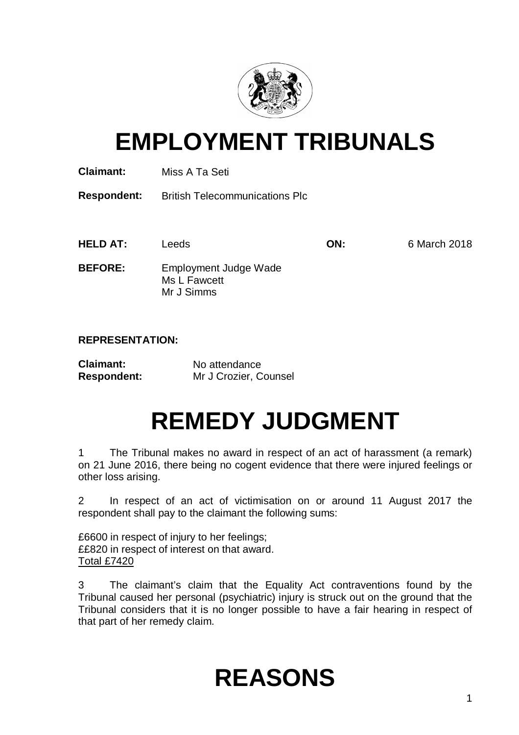

## **EMPLOYMENT TRIBUNALS**

**Claimant:** Miss A Ta Seti

**Respondent:** British Telecommunications Plc

**HELD AT:** Leeds **ON:** 6 March 2018

**BEFORE:** Employment Judge Wade Ms L Fawcett Mr J Simms

## **REPRESENTATION:**

| <b>Claimant:</b>   | No attendance         |
|--------------------|-----------------------|
| <b>Respondent:</b> | Mr J Crozier, Counsel |

# **REMEDY JUDGMENT**

1 The Tribunal makes no award in respect of an act of harassment (a remark) on 21 June 2016, there being no cogent evidence that there were injured feelings or other loss arising.

2 In respect of an act of victimisation on or around 11 August 2017 the respondent shall pay to the claimant the following sums:

£6600 in respect of injury to her feelings; ££820 in respect of interest on that award. Total £7420

3 The claimant's claim that the Equality Act contraventions found by the Tribunal caused her personal (psychiatric) injury is struck out on the ground that the Tribunal considers that it is no longer possible to have a fair hearing in respect of that part of her remedy claim.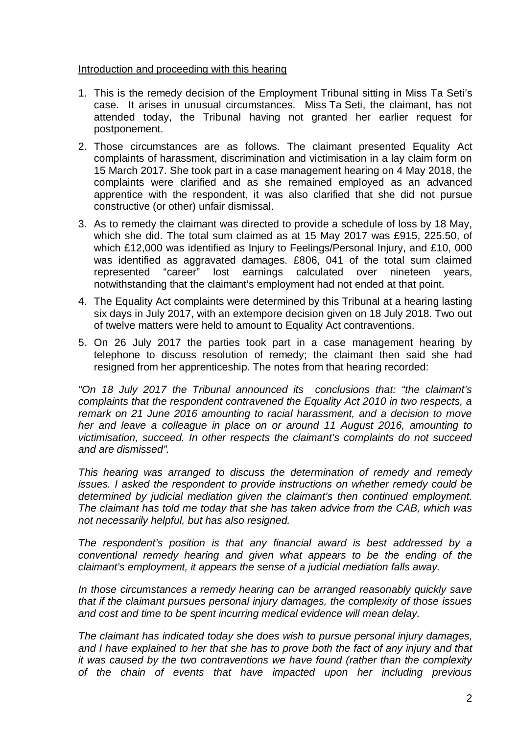## Introduction and proceeding with this hearing

- 1. This is the remedy decision of the Employment Tribunal sitting in Miss Ta Seti's case. It arises in unusual circumstances. Miss Ta Seti, the claimant, has not attended today, the Tribunal having not granted her earlier request for postponement.
- 2. Those circumstances are as follows. The claimant presented Equality Act complaints of harassment, discrimination and victimisation in a lay claim form on 15 March 2017. She took part in a case management hearing on 4 May 2018, the complaints were clarified and as she remained employed as an advanced apprentice with the respondent, it was also clarified that she did not pursue constructive (or other) unfair dismissal.
- 3. As to remedy the claimant was directed to provide a schedule of loss by 18 May, which she did. The total sum claimed as at 15 May 2017 was £915, 225.50, of which £12,000 was identified as Injury to Feelings/Personal Injury, and £10, 000 was identified as aggravated damages. £806, 041 of the total sum claimed represented "career" lost earnings calculated over nineteen years, notwithstanding that the claimant's employment had not ended at that point.
- 4. The Equality Act complaints were determined by this Tribunal at a hearing lasting six days in July 2017, with an extempore decision given on 18 July 2018. Two out of twelve matters were held to amount to Equality Act contraventions.
- 5. On 26 July 2017 the parties took part in a case management hearing by telephone to discuss resolution of remedy; the claimant then said she had resigned from her apprenticeship. The notes from that hearing recorded:

*"On 18 July 2017 the Tribunal announced its conclusions that: "the claimant's complaints that the respondent contravened the Equality Act 2010 in two respects, a remark on 21 June 2016 amounting to racial harassment, and a decision to move her and leave a colleague in place on or around 11 August 2016, amounting to victimisation, succeed. In other respects the claimant's complaints do not succeed and are dismissed".*

*This hearing was arranged to discuss the determination of remedy and remedy issues. I asked the respondent to provide instructions on whether remedy could be determined by judicial mediation given the claimant's then continued employment. The claimant has told me today that she has taken advice from the CAB, which was not necessarily helpful, but has also resigned.* 

*The respondent's position is that any financial award is best addressed by a conventional remedy hearing and given what appears to be the ending of the claimant's employment, it appears the sense of a judicial mediation falls away.* 

*In those circumstances a remedy hearing can be arranged reasonably quickly save that if the claimant pursues personal injury damages, the complexity of those issues and cost and time to be spent incurring medical evidence will mean delay.* 

*The claimant has indicated today she does wish to pursue personal injury damages, and I have explained to her that she has to prove both the fact of any injury and that it was caused by the two contraventions we have found (rather than the complexity of the chain of events that have impacted upon her including previous*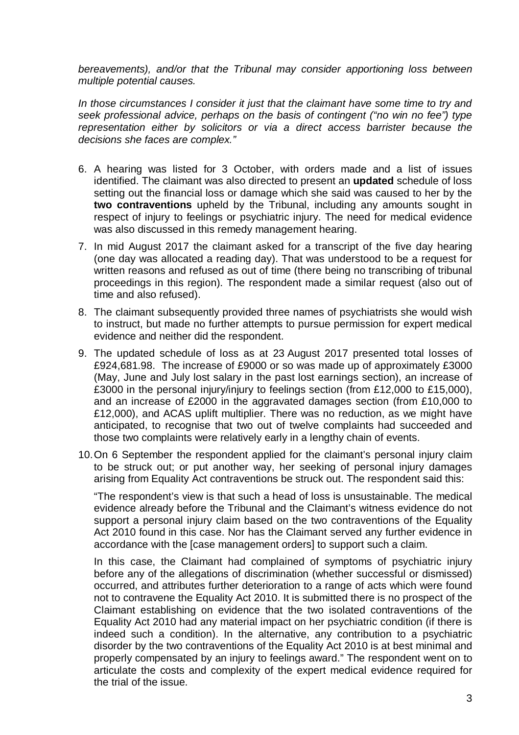*bereavements), and/or that the Tribunal may consider apportioning loss between multiple potential causes.* 

*In those circumstances I consider it just that the claimant have some time to try and seek professional advice, perhaps on the basis of contingent ("no win no fee") type representation either by solicitors or via a direct access barrister because the decisions she faces are complex."*

- 6. A hearing was listed for 3 October, with orders made and a list of issues identified. The claimant was also directed to present an **updated** schedule of loss setting out the financial loss or damage which she said was caused to her by the **two contraventions** upheld by the Tribunal, including any amounts sought in respect of injury to feelings or psychiatric injury. The need for medical evidence was also discussed in this remedy management hearing.
- 7. In mid August 2017 the claimant asked for a transcript of the five day hearing (one day was allocated a reading day). That was understood to be a request for written reasons and refused as out of time (there being no transcribing of tribunal proceedings in this region). The respondent made a similar request (also out of time and also refused).
- 8. The claimant subsequently provided three names of psychiatrists she would wish to instruct, but made no further attempts to pursue permission for expert medical evidence and neither did the respondent.
- 9. The updated schedule of loss as at 23 August 2017 presented total losses of £924,681.98. The increase of £9000 or so was made up of approximately £3000 (May, June and July lost salary in the past lost earnings section), an increase of £3000 in the personal injury/injury to feelings section (from £12,000 to £15,000), and an increase of £2000 in the aggravated damages section (from £10,000 to £12,000), and ACAS uplift multiplier. There was no reduction, as we might have anticipated, to recognise that two out of twelve complaints had succeeded and those two complaints were relatively early in a lengthy chain of events.
- 10.On 6 September the respondent applied for the claimant's personal injury claim to be struck out; or put another way, her seeking of personal injury damages arising from Equality Act contraventions be struck out. The respondent said this:

"The respondent's view is that such a head of loss is unsustainable. The medical evidence already before the Tribunal and the Claimant's witness evidence do not support a personal injury claim based on the two contraventions of the Equality Act 2010 found in this case. Nor has the Claimant served any further evidence in accordance with the [case management orders] to support such a claim.

In this case, the Claimant had complained of symptoms of psychiatric injury before any of the allegations of discrimination (whether successful or dismissed) occurred, and attributes further deterioration to a range of acts which were found not to contravene the Equality Act 2010. It is submitted there is no prospect of the Claimant establishing on evidence that the two isolated contraventions of the Equality Act 2010 had any material impact on her psychiatric condition (if there is indeed such a condition). In the alternative, any contribution to a psychiatric disorder by the two contraventions of the Equality Act 2010 is at best minimal and properly compensated by an injury to feelings award." The respondent went on to articulate the costs and complexity of the expert medical evidence required for the trial of the issue.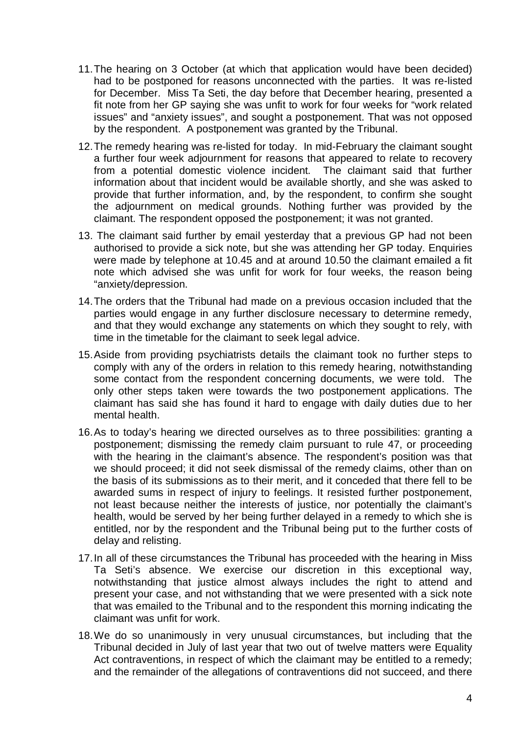- 11.The hearing on 3 October (at which that application would have been decided) had to be postponed for reasons unconnected with the parties. It was re-listed for December. Miss Ta Seti, the day before that December hearing, presented a fit note from her GP saying she was unfit to work for four weeks for "work related issues" and "anxiety issues", and sought a postponement. That was not opposed by the respondent. A postponement was granted by the Tribunal.
- 12.The remedy hearing was re-listed for today. In mid-February the claimant sought a further four week adjournment for reasons that appeared to relate to recovery from a potential domestic violence incident. The claimant said that further information about that incident would be available shortly, and she was asked to provide that further information, and, by the respondent, to confirm she sought the adjournment on medical grounds. Nothing further was provided by the claimant. The respondent opposed the postponement; it was not granted.
- 13. The claimant said further by email yesterday that a previous GP had not been authorised to provide a sick note, but she was attending her GP today. Enquiries were made by telephone at 10.45 and at around 10.50 the claimant emailed a fit note which advised she was unfit for work for four weeks, the reason being "anxiety/depression.
- 14.The orders that the Tribunal had made on a previous occasion included that the parties would engage in any further disclosure necessary to determine remedy, and that they would exchange any statements on which they sought to rely, with time in the timetable for the claimant to seek legal advice.
- 15.Aside from providing psychiatrists details the claimant took no further steps to comply with any of the orders in relation to this remedy hearing, notwithstanding some contact from the respondent concerning documents, we were told. The only other steps taken were towards the two postponement applications. The claimant has said she has found it hard to engage with daily duties due to her mental health.
- 16.As to today's hearing we directed ourselves as to three possibilities: granting a postponement; dismissing the remedy claim pursuant to rule 47, or proceeding with the hearing in the claimant's absence. The respondent's position was that we should proceed; it did not seek dismissal of the remedy claims, other than on the basis of its submissions as to their merit, and it conceded that there fell to be awarded sums in respect of injury to feelings. It resisted further postponement, not least because neither the interests of justice, nor potentially the claimant's health, would be served by her being further delayed in a remedy to which she is entitled, nor by the respondent and the Tribunal being put to the further costs of delay and relisting.
- 17.In all of these circumstances the Tribunal has proceeded with the hearing in Miss Ta Seti's absence. We exercise our discretion in this exceptional way, notwithstanding that justice almost always includes the right to attend and present your case, and not withstanding that we were presented with a sick note that was emailed to the Tribunal and to the respondent this morning indicating the claimant was unfit for work.
- 18.We do so unanimously in very unusual circumstances, but including that the Tribunal decided in July of last year that two out of twelve matters were Equality Act contraventions, in respect of which the claimant may be entitled to a remedy; and the remainder of the allegations of contraventions did not succeed, and there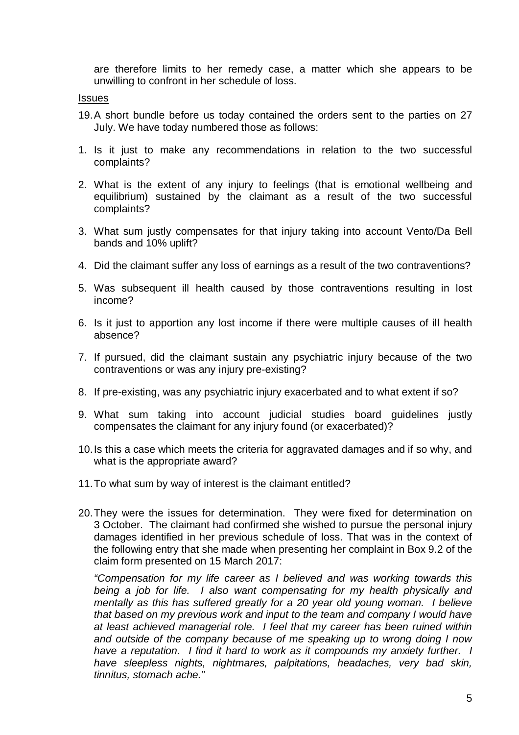are therefore limits to her remedy case, a matter which she appears to be unwilling to confront in her schedule of loss.

#### Issues

- 19.A short bundle before us today contained the orders sent to the parties on 27 July. We have today numbered those as follows:
- 1. Is it just to make any recommendations in relation to the two successful complaints?
- 2. What is the extent of any injury to feelings (that is emotional wellbeing and equilibrium) sustained by the claimant as a result of the two successful complaints?
- 3. What sum justly compensates for that injury taking into account Vento/Da Bell bands and 10% uplift?
- 4. Did the claimant suffer any loss of earnings as a result of the two contraventions?
- 5. Was subsequent ill health caused by those contraventions resulting in lost income?
- 6. Is it just to apportion any lost income if there were multiple causes of ill health absence?
- 7. If pursued, did the claimant sustain any psychiatric injury because of the two contraventions or was any injury pre-existing?
- 8. If pre-existing, was any psychiatric injury exacerbated and to what extent if so?
- 9. What sum taking into account judicial studies board guidelines justly compensates the claimant for any injury found (or exacerbated)?
- 10.Is this a case which meets the criteria for aggravated damages and if so why, and what is the appropriate award?
- 11.To what sum by way of interest is the claimant entitled?
- 20.They were the issues for determination. They were fixed for determination on 3 October. The claimant had confirmed she wished to pursue the personal injury damages identified in her previous schedule of loss. That was in the context of the following entry that she made when presenting her complaint in Box 9.2 of the claim form presented on 15 March 2017:

*"Compensation for my life career as I believed and was working towards this being a job for life. I also want compensating for my health physically and mentally as this has suffered greatly for a 20 year old young woman. I believe that based on my previous work and input to the team and company I would have at least achieved managerial role. I feel that my career has been ruined within and outside of the company because of me speaking up to wrong doing I now have a reputation. I find it hard to work as it compounds my anxiety further. I have sleepless nights, nightmares, palpitations, headaches, very bad skin, tinnitus, stomach ache."*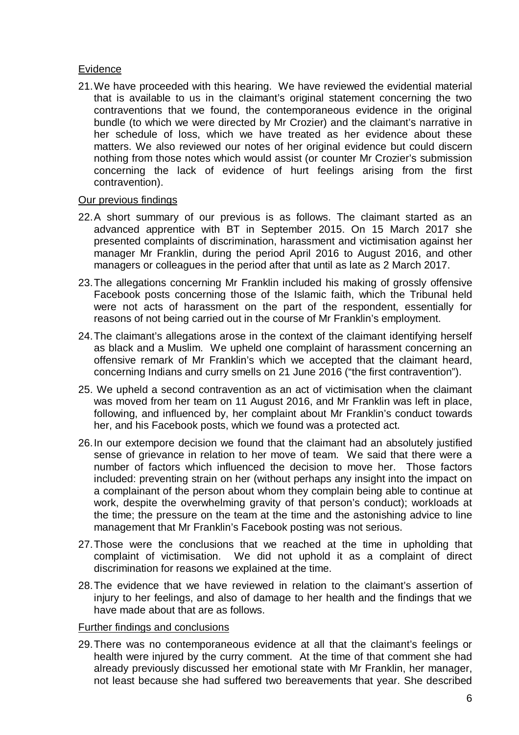## Evidence

21.We have proceeded with this hearing. We have reviewed the evidential material that is available to us in the claimant's original statement concerning the two contraventions that we found, the contemporaneous evidence in the original bundle (to which we were directed by Mr Crozier) and the claimant's narrative in her schedule of loss, which we have treated as her evidence about these matters. We also reviewed our notes of her original evidence but could discern nothing from those notes which would assist (or counter Mr Crozier's submission concerning the lack of evidence of hurt feelings arising from the first contravention).

### Our previous findings

- 22.A short summary of our previous is as follows. The claimant started as an advanced apprentice with BT in September 2015. On 15 March 2017 she presented complaints of discrimination, harassment and victimisation against her manager Mr Franklin, during the period April 2016 to August 2016, and other managers or colleagues in the period after that until as late as 2 March 2017.
- 23.The allegations concerning Mr Franklin included his making of grossly offensive Facebook posts concerning those of the Islamic faith, which the Tribunal held were not acts of harassment on the part of the respondent, essentially for reasons of not being carried out in the course of Mr Franklin's employment.
- 24.The claimant's allegations arose in the context of the claimant identifying herself as black and a Muslim. We upheld one complaint of harassment concerning an offensive remark of Mr Franklin's which we accepted that the claimant heard, concerning Indians and curry smells on 21 June 2016 ("the first contravention").
- 25. We upheld a second contravention as an act of victimisation when the claimant was moved from her team on 11 August 2016, and Mr Franklin was left in place, following, and influenced by, her complaint about Mr Franklin's conduct towards her, and his Facebook posts, which we found was a protected act.
- 26.In our extempore decision we found that the claimant had an absolutely justified sense of grievance in relation to her move of team. We said that there were a number of factors which influenced the decision to move her. Those factors included: preventing strain on her (without perhaps any insight into the impact on a complainant of the person about whom they complain being able to continue at work, despite the overwhelming gravity of that person's conduct); workloads at the time; the pressure on the team at the time and the astonishing advice to line management that Mr Franklin's Facebook posting was not serious.
- 27.Those were the conclusions that we reached at the time in upholding that complaint of victimisation. We did not uphold it as a complaint of direct discrimination for reasons we explained at the time.
- 28.The evidence that we have reviewed in relation to the claimant's assertion of injury to her feelings, and also of damage to her health and the findings that we have made about that are as follows.

#### Further findings and conclusions

29.There was no contemporaneous evidence at all that the claimant's feelings or health were injured by the curry comment. At the time of that comment she had already previously discussed her emotional state with Mr Franklin, her manager, not least because she had suffered two bereavements that year. She described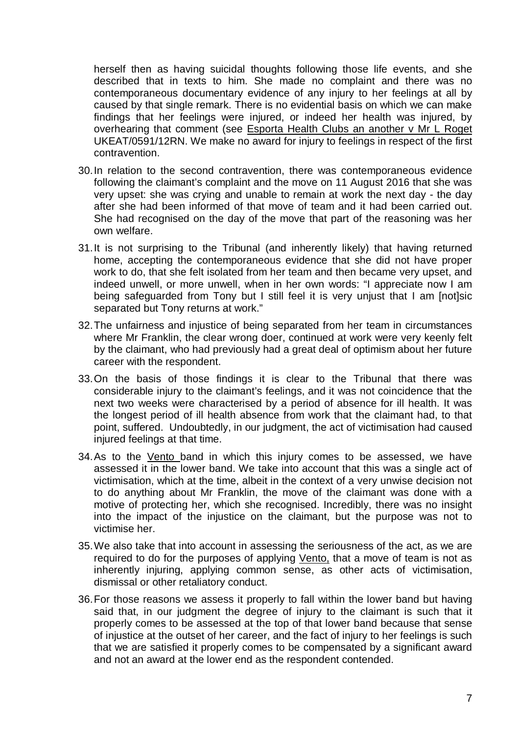herself then as having suicidal thoughts following those life events, and she described that in texts to him. She made no complaint and there was no contemporaneous documentary evidence of any injury to her feelings at all by caused by that single remark. There is no evidential basis on which we can make findings that her feelings were injured, or indeed her health was injured, by overhearing that comment (see Esporta Health Clubs an another v Mr L Roget UKEAT/0591/12RN. We make no award for injury to feelings in respect of the first contravention.

- 30.In relation to the second contravention, there was contemporaneous evidence following the claimant's complaint and the move on 11 August 2016 that she was very upset: she was crying and unable to remain at work the next day - the day after she had been informed of that move of team and it had been carried out. She had recognised on the day of the move that part of the reasoning was her own welfare.
- 31.It is not surprising to the Tribunal (and inherently likely) that having returned home, accepting the contemporaneous evidence that she did not have proper work to do, that she felt isolated from her team and then became very upset, and indeed unwell, or more unwell, when in her own words: "I appreciate now I am being safeguarded from Tony but I still feel it is very unjust that I am [not]sic separated but Tony returns at work."
- 32.The unfairness and injustice of being separated from her team in circumstances where Mr Franklin, the clear wrong doer, continued at work were very keenly felt by the claimant, who had previously had a great deal of optimism about her future career with the respondent.
- 33.On the basis of those findings it is clear to the Tribunal that there was considerable injury to the claimant's feelings, and it was not coincidence that the next two weeks were characterised by a period of absence for ill health. It was the longest period of ill health absence from work that the claimant had, to that point, suffered. Undoubtedly, in our judgment, the act of victimisation had caused injured feelings at that time.
- 34.As to the Vento band in which this injury comes to be assessed, we have assessed it in the lower band. We take into account that this was a single act of victimisation, which at the time, albeit in the context of a very unwise decision not to do anything about Mr Franklin, the move of the claimant was done with a motive of protecting her, which she recognised. Incredibly, there was no insight into the impact of the injustice on the claimant, but the purpose was not to victimise her.
- 35.We also take that into account in assessing the seriousness of the act, as we are required to do for the purposes of applying Vento, that a move of team is not as inherently injuring, applying common sense, as other acts of victimisation, dismissal or other retaliatory conduct.
- 36.For those reasons we assess it properly to fall within the lower band but having said that, in our judgment the degree of injury to the claimant is such that it properly comes to be assessed at the top of that lower band because that sense of injustice at the outset of her career, and the fact of injury to her feelings is such that we are satisfied it properly comes to be compensated by a significant award and not an award at the lower end as the respondent contended.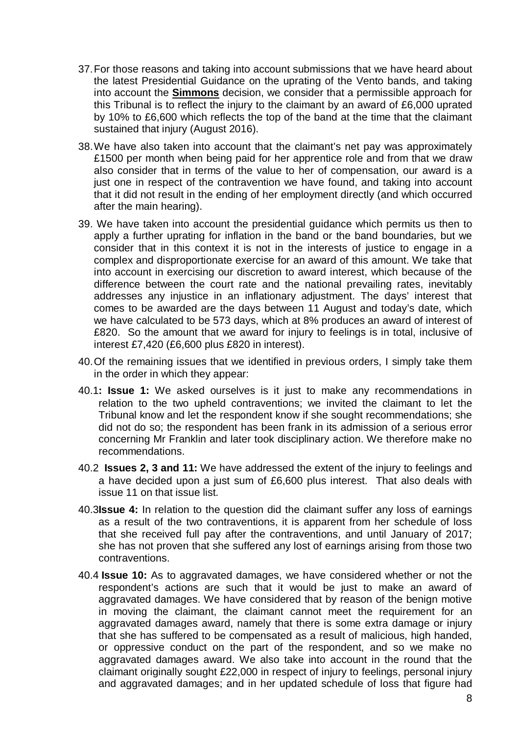- 37.For those reasons and taking into account submissions that we have heard about the latest Presidential Guidance on the uprating of the Vento bands, and taking into account the **Simmons** decision, we consider that a permissible approach for this Tribunal is to reflect the injury to the claimant by an award of £6,000 uprated by 10% to £6,600 which reflects the top of the band at the time that the claimant sustained that injury (August 2016).
- 38.We have also taken into account that the claimant's net pay was approximately £1500 per month when being paid for her apprentice role and from that we draw also consider that in terms of the value to her of compensation, our award is a just one in respect of the contravention we have found, and taking into account that it did not result in the ending of her employment directly (and which occurred after the main hearing).
- 39. We have taken into account the presidential guidance which permits us then to apply a further uprating for inflation in the band or the band boundaries, but we consider that in this context it is not in the interests of justice to engage in a complex and disproportionate exercise for an award of this amount. We take that into account in exercising our discretion to award interest, which because of the difference between the court rate and the national prevailing rates, inevitably addresses any injustice in an inflationary adjustment. The days' interest that comes to be awarded are the days between 11 August and today's date, which we have calculated to be 573 days, which at 8% produces an award of interest of £820. So the amount that we award for injury to feelings is in total, inclusive of interest £7,420 (£6,600 plus £820 in interest).
- 40.Of the remaining issues that we identified in previous orders, I simply take them in the order in which they appear:
- 40.1**: Issue 1:** We asked ourselves is it just to make any recommendations in relation to the two upheld contraventions; we invited the claimant to let the Tribunal know and let the respondent know if she sought recommendations; she did not do so; the respondent has been frank in its admission of a serious error concerning Mr Franklin and later took disciplinary action. We therefore make no recommendations.
- 40.2 **Issues 2, 3 and 11:** We have addressed the extent of the injury to feelings and a have decided upon a just sum of £6,600 plus interest. That also deals with issue 11 on that issue list.
- 40.3**Issue 4:** In relation to the question did the claimant suffer any loss of earnings as a result of the two contraventions, it is apparent from her schedule of loss that she received full pay after the contraventions, and until January of 2017; she has not proven that she suffered any lost of earnings arising from those two contraventions.
- 40.4 **Issue 10:** As to aggravated damages, we have considered whether or not the respondent's actions are such that it would be just to make an award of aggravated damages. We have considered that by reason of the benign motive in moving the claimant, the claimant cannot meet the requirement for an aggravated damages award, namely that there is some extra damage or injury that she has suffered to be compensated as a result of malicious, high handed, or oppressive conduct on the part of the respondent, and so we make no aggravated damages award. We also take into account in the round that the claimant originally sought £22,000 in respect of injury to feelings, personal injury and aggravated damages; and in her updated schedule of loss that figure had